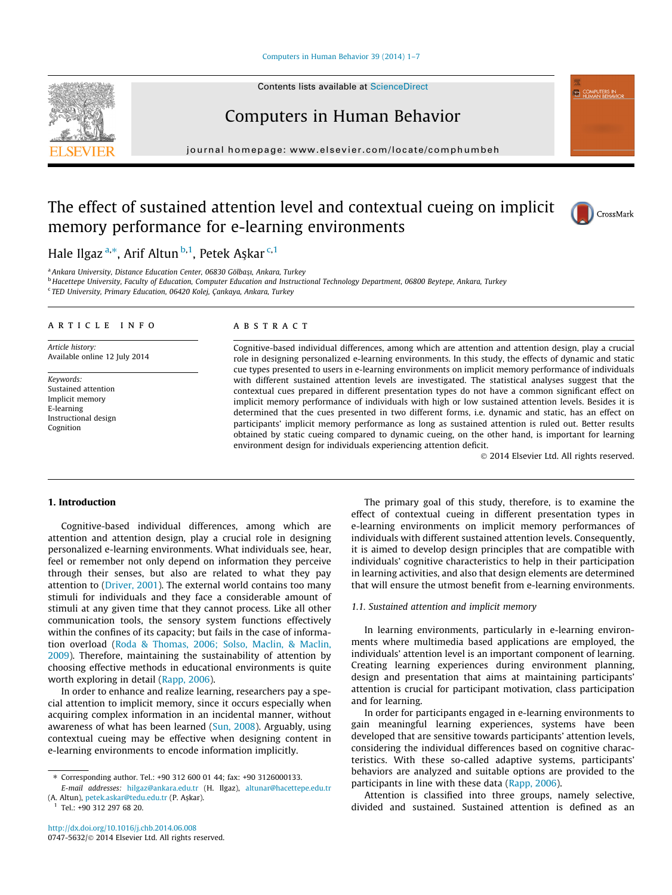## [Computers in Human Behavior 39 \(2014\) 1–7](http://dx.doi.org/10.1016/j.chb.2014.06.008)

Contents lists available at [ScienceDirect](http://www.sciencedirect.com/science/journal/07475632)



journal homepage: [www.elsevier.com/locate/comphumbeh](http://www.elsevier.com/locate/comphumbeh)

# The effect of sustained attention level and contextual cueing on implicit memory performance for e-learning environments



**ED COMPUTERS IN** 

Hale Ilgaz <sup>a,\*</sup>, Arif Altun <sup>b,1</sup>, Petek Aşkar <sup>c,1</sup>

<sup>a</sup> Ankara University, Distance Education Center, 06830 Gölbaşı, Ankara, Turkey

<sup>b</sup> Hacettepe University, Faculty of Education, Computer Education and Instructional Technology Department, 06800 Beytepe, Ankara, Turkey

<sup>c</sup> TED University, Primary Education, 06420 Kolej, Çankaya, Ankara, Turkey

## article info

Article history: Available online 12 July 2014

Keywords: Sustained attention Implicit memory E-learning Instructional design Cognition

# A B S T R A C T

Cognitive-based individual differences, among which are attention and attention design, play a crucial role in designing personalized e-learning environments. In this study, the effects of dynamic and static cue types presented to users in e-learning environments on implicit memory performance of individuals with different sustained attention levels are investigated. The statistical analyses suggest that the contextual cues prepared in different presentation types do not have a common significant effect on implicit memory performance of individuals with high or low sustained attention levels. Besides it is determined that the cues presented in two different forms, i.e. dynamic and static, has an effect on participants' implicit memory performance as long as sustained attention is ruled out. Better results obtained by static cueing compared to dynamic cueing, on the other hand, is important for learning environment design for individuals experiencing attention deficit.

- 2014 Elsevier Ltd. All rights reserved.

## 1. Introduction

Cognitive-based individual differences, among which are attention and attention design, play a crucial role in designing personalized e-learning environments. What individuals see, hear, feel or remember not only depend on information they perceive through their senses, but also are related to what they pay attention to [\(Driver, 2001](#page-6-0)). The external world contains too many stimuli for individuals and they face a considerable amount of stimuli at any given time that they cannot process. Like all other communication tools, the sensory system functions effectively within the confines of its capacity; but fails in the case of information overload [\(Roda & Thomas, 2006; Solso, Maclin, & Maclin,](#page-6-0) [2009](#page-6-0)). Therefore, maintaining the sustainability of attention by choosing effective methods in educational environments is quite worth exploring in detail ([Rapp, 2006](#page-6-0)).

In order to enhance and realize learning, researchers pay a special attention to implicit memory, since it occurs especially when acquiring complex information in an incidental manner, without awareness of what has been learned ([Sun, 2008](#page-6-0)). Arguably, using contextual cueing may be effective when designing content in e-learning environments to encode information implicitly.

<sup>1</sup> Tel.: +90 312 297 68 20.

The primary goal of this study, therefore, is to examine the effect of contextual cueing in different presentation types in e-learning environments on implicit memory performances of individuals with different sustained attention levels. Consequently, it is aimed to develop design principles that are compatible with individuals' cognitive characteristics to help in their participation in learning activities, and also that design elements are determined that will ensure the utmost benefit from e-learning environments.

# 1.1. Sustained attention and implicit memory

In learning environments, particularly in e-learning environments where multimedia based applications are employed, the individuals' attention level is an important component of learning. Creating learning experiences during environment planning, design and presentation that aims at maintaining participants' attention is crucial for participant motivation, class participation and for learning.

In order for participants engaged in e-learning environments to gain meaningful learning experiences, systems have been developed that are sensitive towards participants' attention levels, considering the individual differences based on cognitive characteristics. With these so-called adaptive systems, participants' behaviors are analyzed and suitable options are provided to the participants in line with these data [\(Rapp, 2006\)](#page-6-0).

Attention is classified into three groups, namely selective, divided and sustained. Sustained attention is defined as an



<sup>⇑</sup> Corresponding author. Tel.: +90 312 600 01 44; fax: +90 3126000133. E-mail addresses: [hilgaz@ankara.edu.tr](mailto:hilgaz@ankara.edu.tr) (H. Ilgaz), [altunar@hacettepe.edu.tr](mailto:altunar@hacettepe.edu.tr)

<sup>(</sup>A. Altun), [petek.askar@tedu.edu.tr](mailto:petek.askar@tedu.edu.tr) (P. Aşkar).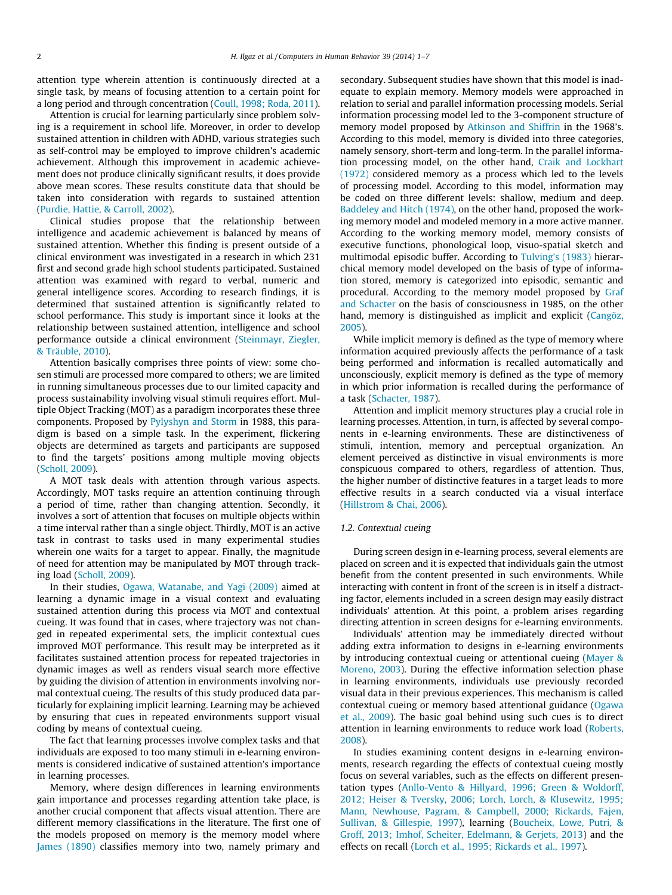attention type wherein attention is continuously directed at a single task, by means of focusing attention to a certain point for a long period and through concentration ([Coull, 1998; Roda, 2011\)](#page-5-0).

Attention is crucial for learning particularly since problem solving is a requirement in school life. Moreover, in order to develop sustained attention in children with ADHD, various strategies such as self-control may be employed to improve children's academic achievement. Although this improvement in academic achievement does not produce clinically significant results, it does provide above mean scores. These results constitute data that should be taken into consideration with regards to sustained attention ([Purdie, Hattie, & Carroll, 2002\)](#page-6-0).

Clinical studies propose that the relationship between intelligence and academic achievement is balanced by means of sustained attention. Whether this finding is present outside of a clinical environment was investigated in a research in which 231 first and second grade high school students participated. Sustained attention was examined with regard to verbal, numeric and general intelligence scores. According to research findings, it is determined that sustained attention is significantly related to school performance. This study is important since it looks at the relationship between sustained attention, intelligence and school performance outside a clinical environment ([Steinmayr, Ziegler,](#page-6-0) [& Träuble, 2010](#page-6-0)).

Attention basically comprises three points of view: some chosen stimuli are processed more compared to others; we are limited in running simultaneous processes due to our limited capacity and process sustainability involving visual stimuli requires effort. Multiple Object Tracking (MOT) as a paradigm incorporates these three components. Proposed by [Pylyshyn and Storm](#page-6-0) in 1988, this paradigm is based on a simple task. In the experiment, flickering objects are determined as targets and participants are supposed to find the targets' positions among multiple moving objects ([Scholl, 2009\)](#page-6-0).

A MOT task deals with attention through various aspects. Accordingly, MOT tasks require an attention continuing through a period of time, rather than changing attention. Secondly, it involves a sort of attention that focuses on multiple objects within a time interval rather than a single object. Thirdly, MOT is an active task in contrast to tasks used in many experimental studies wherein one waits for a target to appear. Finally, the magnitude of need for attention may be manipulated by MOT through tracking load [\(Scholl, 2009](#page-6-0)).

In their studies, [Ogawa, Watanabe, and Yagi \(2009\)](#page-6-0) aimed at learning a dynamic image in a visual context and evaluating sustained attention during this process via MOT and contextual cueing. It was found that in cases, where trajectory was not changed in repeated experimental sets, the implicit contextual cues improved MOT performance. This result may be interpreted as it facilitates sustained attention process for repeated trajectories in dynamic images as well as renders visual search more effective by guiding the division of attention in environments involving normal contextual cueing. The results of this study produced data particularly for explaining implicit learning. Learning may be achieved by ensuring that cues in repeated environments support visual coding by means of contextual cueing.

The fact that learning processes involve complex tasks and that individuals are exposed to too many stimuli in e-learning environments is considered indicative of sustained attention's importance in learning processes.

Memory, where design differences in learning environments gain importance and processes regarding attention take place, is another crucial component that affects visual attention. There are different memory classifications in the literature. The first one of the models proposed on memory is the memory model where [James \(1890\)](#page-6-0) classifies memory into two, namely primary and

secondary. Subsequent studies have shown that this model is inadequate to explain memory. Memory models were approached in relation to serial and parallel information processing models. Serial information processing model led to the 3-component structure of memory model proposed by [Atkinson and Shiffrin](#page-5-0) in the 1968's. According to this model, memory is divided into three categories, namely sensory, short-term and long-term. In the parallel information processing model, on the other hand, [Craik and Lockhart](#page-5-0) [\(1972\)](#page-5-0) considered memory as a process which led to the levels of processing model. According to this model, information may be coded on three different levels: shallow, medium and deep. [Baddeley and Hitch \(1974\)](#page-5-0), on the other hand, proposed the working memory model and modeled memory in a more active manner. According to the working memory model, memory consists of executive functions, phonological loop, visuo-spatial sketch and multimodal episodic buffer. According to [Tulving's \(1983\)](#page-6-0) hierarchical memory model developed on the basis of type of information stored, memory is categorized into episodic, semantic and procedural. According to the memory model proposed by [Graf](#page-6-0) [and Schacter](#page-6-0) on the basis of consciousness in 1985, on the other hand, memory is distinguished as implicit and explicit ([Cangöz,](#page-5-0) [2005\)](#page-5-0).

While implicit memory is defined as the type of memory where information acquired previously affects the performance of a task being performed and information is recalled automatically and unconsciously, explicit memory is defined as the type of memory in which prior information is recalled during the performance of a task ([Schacter, 1987](#page-6-0)).

Attention and implicit memory structures play a crucial role in learning processes. Attention, in turn, is affected by several components in e-learning environments. These are distinctiveness of stimuli, intention, memory and perceptual organization. An element perceived as distinctive in visual environments is more conspicuous compared to others, regardless of attention. Thus, the higher number of distinctive features in a target leads to more effective results in a search conducted via a visual interface ([Hillstrom & Chai, 2006\)](#page-6-0).

## 1.2. Contextual cueing

During screen design in e-learning process, several elements are placed on screen and it is expected that individuals gain the utmost benefit from the content presented in such environments. While interacting with content in front of the screen is in itself a distracting factor, elements included in a screen design may easily distract individuals' attention. At this point, a problem arises regarding directing attention in screen designs for e-learning environments.

Individuals' attention may be immediately directed without adding extra information to designs in e-learning environments by introducing contextual cueing or attentional cueing ([Mayer &](#page-6-0) [Moreno, 2003](#page-6-0)). During the effective information selection phase in learning environments, individuals use previously recorded visual data in their previous experiences. This mechanism is called contextual cueing or memory based attentional guidance ([Ogawa](#page-6-0) [et al., 2009\)](#page-6-0). The basic goal behind using such cues is to direct attention in learning environments to reduce work load [\(Roberts,](#page-6-0) [2008\)](#page-6-0).

In studies examining content designs in e-learning environments, research regarding the effects of contextual cueing mostly focus on several variables, such as the effects on different presentation types [\(Anllo-Vento & Hillyard, 1996; Green & Woldorff,](#page-5-0) [2012; Heiser & Tversky, 2006; Lorch, Lorch, & Klusewitz, 1995;](#page-5-0) [Mann, Newhouse, Pagram, & Campbell, 2000; Rickards, Fajen,](#page-5-0) [Sullivan, & Gillespie, 1997\)](#page-5-0), learning ([Boucheix, Lowe, Putri, &](#page-5-0) [Groff, 2013; Imhof, Scheiter, Edelmann, & Gerjets, 2013\)](#page-5-0) and the effects on recall ([Lorch et al., 1995; Rickards et al., 1997\)](#page-6-0).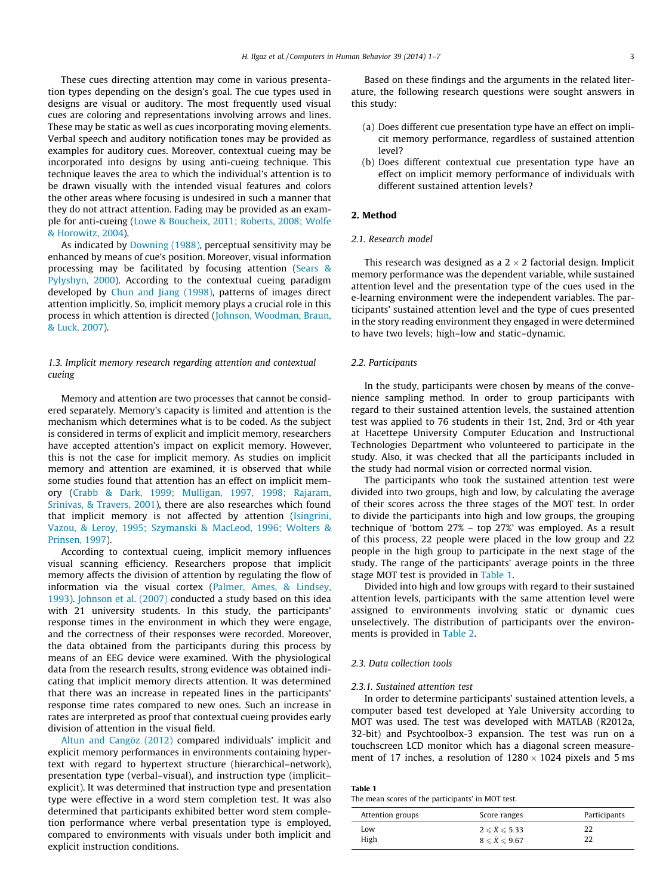These cues directing attention may come in various presentation types depending on the design's goal. The cue types used in designs are visual or auditory. The most frequently used visual cues are coloring and representations involving arrows and lines. These may be static as well as cues incorporating moving elements. Verbal speech and auditory notification tones may be provided as examples for auditory cues. Moreover, contextual cueing may be incorporated into designs by using anti-cueing technique. This technique leaves the area to which the individual's attention is to be drawn visually with the intended visual features and colors the other areas where focusing is undesired in such a manner that they do not attract attention. Fading may be provided as an example for anti-cueing ([Lowe & Boucheix, 2011; Roberts, 2008; Wolfe](#page-6-0) [& Horowitz, 2004\)](#page-6-0).

As indicated by [Downing \(1988\)](#page-5-0), perceptual sensitivity may be enhanced by means of cue's position. Moreover, visual information processing may be facilitated by focusing attention ([Sears &](#page-6-0) [Pylyshyn, 2000\)](#page-6-0). According to the contextual cueing paradigm developed by [Chun and Jiang \(1998\)](#page-5-0), patterns of images direct attention implicitly. So, implicit memory plays a crucial role in this process in which attention is directed [\(Johnson, Woodman, Braun,](#page-6-0) [& Luck, 2007\)](#page-6-0).

## 1.3. Implicit memory research regarding attention and contextual cueing

Memory and attention are two processes that cannot be considered separately. Memory's capacity is limited and attention is the mechanism which determines what is to be coded. As the subject is considered in terms of explicit and implicit memory, researchers have accepted attention's impact on explicit memory. However, this is not the case for implicit memory. As studies on implicit memory and attention are examined, it is observed that while some studies found that attention has an effect on implicit memory ([Crabb & Dark, 1999; Mulligan, 1997, 1998; Rajaram,](#page-5-0) [Srinivas, & Travers, 2001\)](#page-5-0), there are also researches which found that implicit memory is not affected by attention [\(Isingrini,](#page-6-0) [Vazou, & Leroy, 1995; Szymanski & MacLeod, 1996; Wolters &](#page-6-0) [Prinsen, 1997](#page-6-0)).

According to contextual cueing, implicit memory influences visual scanning efficiency. Researchers propose that implicit memory affects the division of attention by regulating the flow of information via the visual cortex ([Palmer, Ames, & Lindsey,](#page-6-0) [1993\)](#page-6-0). [Johnson et al. \(2007\)](#page-6-0) conducted a study based on this idea with 21 university students. In this study, the participants' response times in the environment in which they were engage, and the correctness of their responses were recorded. Moreover, the data obtained from the participants during this process by means of an EEG device were examined. With the physiological data from the research results, strong evidence was obtained indicating that implicit memory directs attention. It was determined that there was an increase in repeated lines in the participants' response time rates compared to new ones. Such an increase in rates are interpreted as proof that contextual cueing provides early division of attention in the visual field.

[Altun and Cangöz \(2012\)](#page-5-0) compared individuals' implicit and explicit memory performances in environments containing hypertext with regard to hypertext structure (hierarchical–network), presentation type (verbal–visual), and instruction type (implicit– explicit). It was determined that instruction type and presentation type were effective in a word stem completion test. It was also determined that participants exhibited better word stem completion performance where verbal presentation type is employed, compared to environments with visuals under both implicit and explicit instruction conditions.

Based on these findings and the arguments in the related literature, the following research questions were sought answers in this study:

- (a) Does different cue presentation type have an effect on implicit memory performance, regardless of sustained attention level?
- (b) Does different contextual cue presentation type have an effect on implicit memory performance of individuals with different sustained attention levels?

# 2. Method

## 2.1. Research model

This research was designed as a 2  $\times$  2 factorial design. Implicit memory performance was the dependent variable, while sustained attention level and the presentation type of the cues used in the e-learning environment were the independent variables. The participants' sustained attention level and the type of cues presented in the story reading environment they engaged in were determined to have two levels; high–low and static–dynamic.

## 2.2. Participants

In the study, participants were chosen by means of the convenience sampling method. In order to group participants with regard to their sustained attention levels, the sustained attention test was applied to 76 students in their 1st, 2nd, 3rd or 4th year at Hacettepe University Computer Education and Instructional Technologies Department who volunteered to participate in the study. Also, it was checked that all the participants included in the study had normal vision or corrected normal vision.

The participants who took the sustained attention test were divided into two groups, high and low, by calculating the average of their scores across the three stages of the MOT test. In order to divide the participants into high and low groups, the grouping technique of 'bottom 27% – top 27%' was employed. As a result of this process, 22 people were placed in the low group and 22 people in the high group to participate in the next stage of the study. The range of the participants' average points in the three stage MOT test is provided in Table 1.

Divided into high and low groups with regard to their sustained attention levels, participants with the same attention level were assigned to environments involving static or dynamic cues unselectively. The distribution of participants over the environments is provided in [Table 2](#page-3-0).

## 2.3. Data collection tools

#### 2.3.1. Sustained attention test

In order to determine participants' sustained attention levels, a computer based test developed at Yale University according to MOT was used. The test was developed with MATLAB (R2012a, 32-bit) and Psychtoolbox-3 expansion. The test was run on a touchscreen LCD monitor which has a diagonal screen measurement of 17 inches, a resolution of  $1280 \times 1024$  pixels and 5 ms

| <b>Table 1</b>                                    |  |  |  |  |
|---------------------------------------------------|--|--|--|--|
| The mean scores of the participants' in MOT test. |  |  |  |  |

| Attention groups | Score ranges                         | Participants |  |  |
|------------------|--------------------------------------|--------------|--|--|
| Low              | $2 \leqslant \bar{X} \leqslant 5.33$ |              |  |  |
| High             | $8 \leq \bar{X} \leq 9.67$           | 22           |  |  |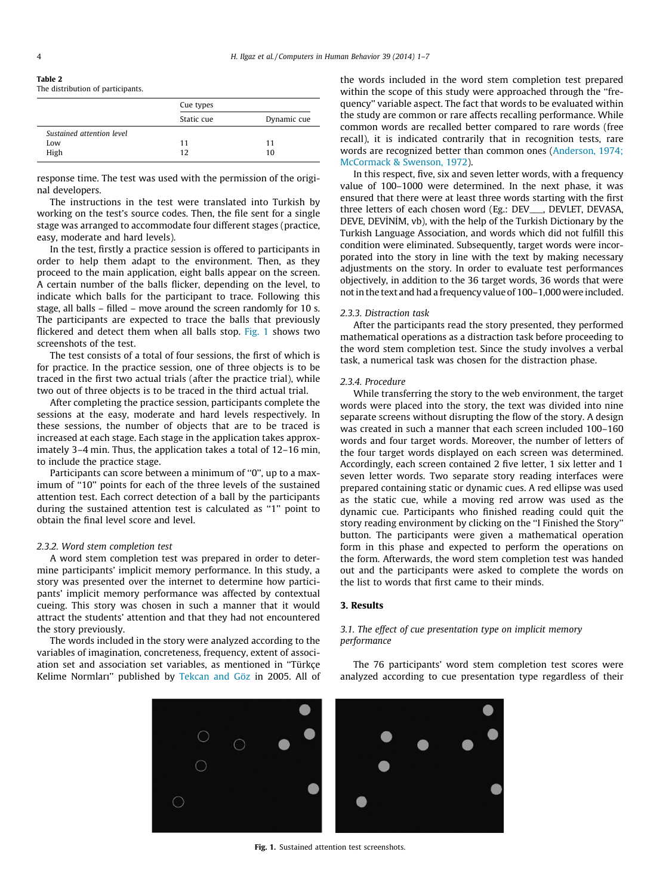<span id="page-3-0"></span>Table 2 The distribution of participants.

|                           | Cue types  |             |  |
|---------------------------|------------|-------------|--|
|                           | Static cue | Dynamic cue |  |
| Sustained attention level |            |             |  |
| Low                       | 11         | 11          |  |
| High                      | 12         | 10          |  |

response time. The test was used with the permission of the original developers.

The instructions in the test were translated into Turkish by working on the test's source codes. Then, the file sent for a single stage was arranged to accommodate four different stages (practice, easy, moderate and hard levels).

In the test, firstly a practice session is offered to participants in order to help them adapt to the environment. Then, as they proceed to the main application, eight balls appear on the screen. A certain number of the balls flicker, depending on the level, to indicate which balls for the participant to trace. Following this stage, all balls – filled – move around the screen randomly for 10 s. The participants are expected to trace the balls that previously flickered and detect them when all balls stop. Fig. 1 shows two screenshots of the test.

The test consists of a total of four sessions, the first of which is for practice. In the practice session, one of three objects is to be traced in the first two actual trials (after the practice trial), while two out of three objects is to be traced in the third actual trial.

After completing the practice session, participants complete the sessions at the easy, moderate and hard levels respectively. In these sessions, the number of objects that are to be traced is increased at each stage. Each stage in the application takes approximately 3–4 min. Thus, the application takes a total of 12–16 min, to include the practice stage.

Participants can score between a minimum of ''0'', up to a maximum of ''10'' points for each of the three levels of the sustained attention test. Each correct detection of a ball by the participants during the sustained attention test is calculated as ''1'' point to obtain the final level score and level.

## 2.3.2. Word stem completion test

A word stem completion test was prepared in order to determine participants' implicit memory performance. In this study, a story was presented over the internet to determine how participants' implicit memory performance was affected by contextual cueing. This story was chosen in such a manner that it would attract the students' attention and that they had not encountered the story previously.

The words included in the story were analyzed according to the variables of imagination, concreteness, frequency, extent of association set and association set variables, as mentioned in ''Türkçe Kelime Normları'' published by [Tekcan and Göz](#page-6-0) in 2005. All of

the words included in the word stem completion test prepared within the scope of this study were approached through the ''frequency'' variable aspect. The fact that words to be evaluated within the study are common or rare affects recalling performance. While common words are recalled better compared to rare words (free recall), it is indicated contrarily that in recognition tests, rare words are recognized better than common ones [\(Anderson, 1974;](#page-5-0) [McCormack & Swenson, 1972\)](#page-5-0).

In this respect, five, six and seven letter words, with a frequency value of 100–1000 were determined. In the next phase, it was ensured that there were at least three words starting with the first three letters of each chosen word (Eg.: DEV\_\_\_, DEVLET, DEVASA, DEVE, DEVINIM, vb), with the help of the Turkish Dictionary by the Turkish Language Association, and words which did not fulfill this condition were eliminated. Subsequently, target words were incorporated into the story in line with the text by making necessary adjustments on the story. In order to evaluate test performances objectively, in addition to the 36 target words, 36 words that were not in the text and had a frequency value of 100–1,000 were included.

## 2.3.3. Distraction task

After the participants read the story presented, they performed mathematical operations as a distraction task before proceeding to the word stem completion test. Since the study involves a verbal task, a numerical task was chosen for the distraction phase.

## 2.3.4. Procedure

While transferring the story to the web environment, the target words were placed into the story, the text was divided into nine separate screens without disrupting the flow of the story. A design was created in such a manner that each screen included 100–160 words and four target words. Moreover, the number of letters of the four target words displayed on each screen was determined. Accordingly, each screen contained 2 five letter, 1 six letter and 1 seven letter words. Two separate story reading interfaces were prepared containing static or dynamic cues. A red ellipse was used as the static cue, while a moving red arrow was used as the dynamic cue. Participants who finished reading could quit the story reading environment by clicking on the ''I Finished the Story'' button. The participants were given a mathematical operation form in this phase and expected to perform the operations on the form. Afterwards, the word stem completion test was handed out and the participants were asked to complete the words on the list to words that first came to their minds.

## 3. Results

# 3.1. The effect of cue presentation type on implicit memory performance

The 76 participants' word stem completion test scores were analyzed according to cue presentation type regardless of their

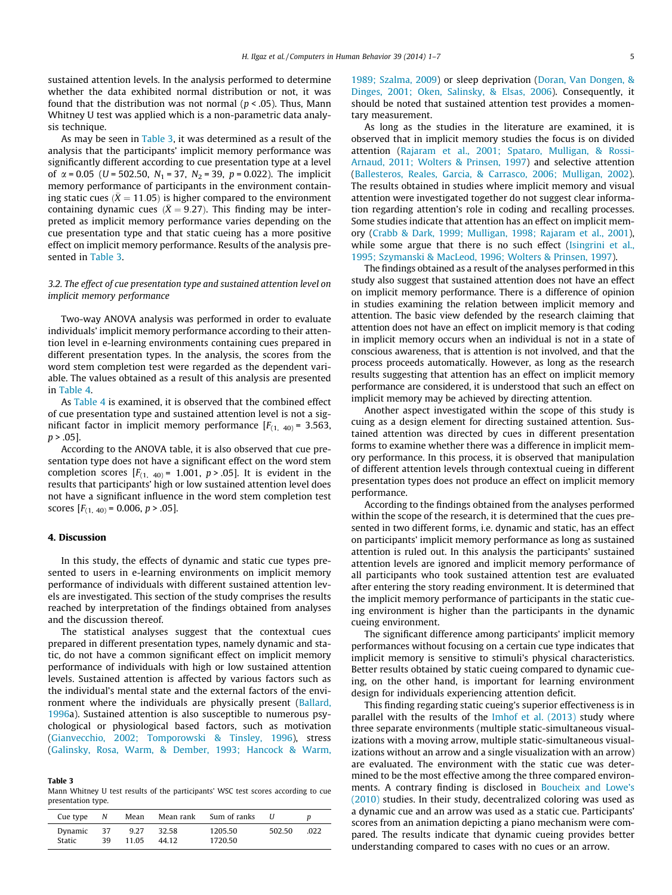sustained attention levels. In the analysis performed to determine whether the data exhibited normal distribution or not, it was found that the distribution was not normal ( $p < .05$ ). Thus, Mann Whitney U test was applied which is a non-parametric data analysis technique.

As may be seen in Table 3, it was determined as a result of the analysis that the participants' implicit memory performance was significantly different according to cue presentation type at a level of  $\alpha$  = 0.05 (U = 502.50, N<sub>1</sub> = 37, N<sub>2</sub> = 39, p = 0.022). The implicit memory performance of participants in the environment containing static cues ( $\bar{X} = 11.05$ ) is higher compared to the environment containing dynamic cues ( $\bar{X} = 9.27$ ). This finding may be interpreted as implicit memory performance varies depending on the cue presentation type and that static cueing has a more positive effect on implicit memory performance. Results of the analysis presented in Table 3.

# 3.2. The effect of cue presentation type and sustained attention level on implicit memory performance

Two-way ANOVA analysis was performed in order to evaluate individuals' implicit memory performance according to their attention level in e-learning environments containing cues prepared in different presentation types. In the analysis, the scores from the word stem completion test were regarded as the dependent variable. The values obtained as a result of this analysis are presented in [Table 4](#page-5-0).

As [Table 4](#page-5-0) is examined, it is observed that the combined effect of cue presentation type and sustained attention level is not a significant factor in implicit memory performance  $[F(1, 40) = 3.563,$  $p > .05$ ].

According to the ANOVA table, it is also observed that cue presentation type does not have a significant effect on the word stem completion scores  $[F(1, 40) = 1.001, p > .05]$ . It is evident in the results that participants' high or low sustained attention level does not have a significant influence in the word stem completion test scores  $[F(1, 40) = 0.006, p > .05]$ .

# 4. Discussion

In this study, the effects of dynamic and static cue types presented to users in e-learning environments on implicit memory performance of individuals with different sustained attention levels are investigated. This section of the study comprises the results reached by interpretation of the findings obtained from analyses and the discussion thereof.

The statistical analyses suggest that the contextual cues prepared in different presentation types, namely dynamic and static, do not have a common significant effect on implicit memory performance of individuals with high or low sustained attention levels. Sustained attention is affected by various factors such as the individual's mental state and the external factors of the environment where the individuals are physically present [\(Ballard,](#page-5-0) [1996a](#page-5-0)). Sustained attention is also susceptible to numerous psychological or physiological based factors, such as motivation ([Gianvecchio, 2002; Tomporowski & Tinsley, 1996](#page-6-0)), stress ([Galinsky, Rosa, Warm, & Dember, 1993; Hancock & Warm,](#page-6-0)

#### Table 3

Mann Whitney U test results of the participants' WSC test scores according to cue presentation type.

| Cue type             | N  | Mean          | Mean rank      | Sum of ranks       | U      |     |
|----------------------|----|---------------|----------------|--------------------|--------|-----|
| Dynamic 37<br>Static | 39 | 9.27<br>11 05 | 32.58<br>44 12 | 1205.50<br>1720.50 | 502.50 | 022 |

[1989; Szalma, 2009](#page-6-0)) or sleep deprivation [\(Doran, Van Dongen, &](#page-5-0) [Dinges, 2001; Oken, Salinsky, & Elsas, 2006](#page-5-0)). Consequently, it should be noted that sustained attention test provides a momentary measurement.

As long as the studies in the literature are examined, it is observed that in implicit memory studies the focus is on divided attention [\(Rajaram et al., 2001; Spataro, Mulligan, & Rossi-](#page-6-0)[Arnaud, 2011; Wolters & Prinsen, 1997\)](#page-6-0) and selective attention ([Ballesteros, Reales, Garcia, & Carrasco, 2006; Mulligan, 2002\)](#page-5-0). The results obtained in studies where implicit memory and visual attention were investigated together do not suggest clear information regarding attention's role in coding and recalling processes. Some studies indicate that attention has an effect on implicit memory ([Crabb & Dark, 1999; Mulligan, 1998; Rajaram et al., 2001\)](#page-5-0), while some argue that there is no such effect ([Isingrini et al.,](#page-6-0) [1995; Szymanski & MacLeod, 1996; Wolters & Prinsen, 1997\)](#page-6-0).

The findings obtained as a result of the analyses performed in this study also suggest that sustained attention does not have an effect on implicit memory performance. There is a difference of opinion in studies examining the relation between implicit memory and attention. The basic view defended by the research claiming that attention does not have an effect on implicit memory is that coding in implicit memory occurs when an individual is not in a state of conscious awareness, that is attention is not involved, and that the process proceeds automatically. However, as long as the research results suggesting that attention has an effect on implicit memory performance are considered, it is understood that such an effect on implicit memory may be achieved by directing attention.

Another aspect investigated within the scope of this study is cuing as a design element for directing sustained attention. Sustained attention was directed by cues in different presentation forms to examine whether there was a difference in implicit memory performance. In this process, it is observed that manipulation of different attention levels through contextual cueing in different presentation types does not produce an effect on implicit memory performance.

According to the findings obtained from the analyses performed within the scope of the research, it is determined that the cues presented in two different forms, i.e. dynamic and static, has an effect on participants' implicit memory performance as long as sustained attention is ruled out. In this analysis the participants' sustained attention levels are ignored and implicit memory performance of all participants who took sustained attention test are evaluated after entering the story reading environment. It is determined that the implicit memory performance of participants in the static cueing environment is higher than the participants in the dynamic cueing environment.

The significant difference among participants' implicit memory performances without focusing on a certain cue type indicates that implicit memory is sensitive to stimuli's physical characteristics. Better results obtained by static cueing compared to dynamic cueing, on the other hand, is important for learning environment design for individuals experiencing attention deficit.

This finding regarding static cueing's superior effectiveness is in parallel with the results of the [Imhof et al. \(2013\)](#page-6-0) study where three separate environments (multiple static-simultaneous visualizations with a moving arrow, multiple static-simultaneous visualizations without an arrow and a single visualization with an arrow) are evaluated. The environment with the static cue was determined to be the most effective among the three compared environments. A contrary finding is disclosed in [Boucheix and Lowe's](#page-5-0) [\(2010\)](#page-5-0) studies. In their study, decentralized coloring was used as a dynamic cue and an arrow was used as a static cue. Participants' scores from an animation depicting a piano mechanism were compared. The results indicate that dynamic cueing provides better understanding compared to cases with no cues or an arrow.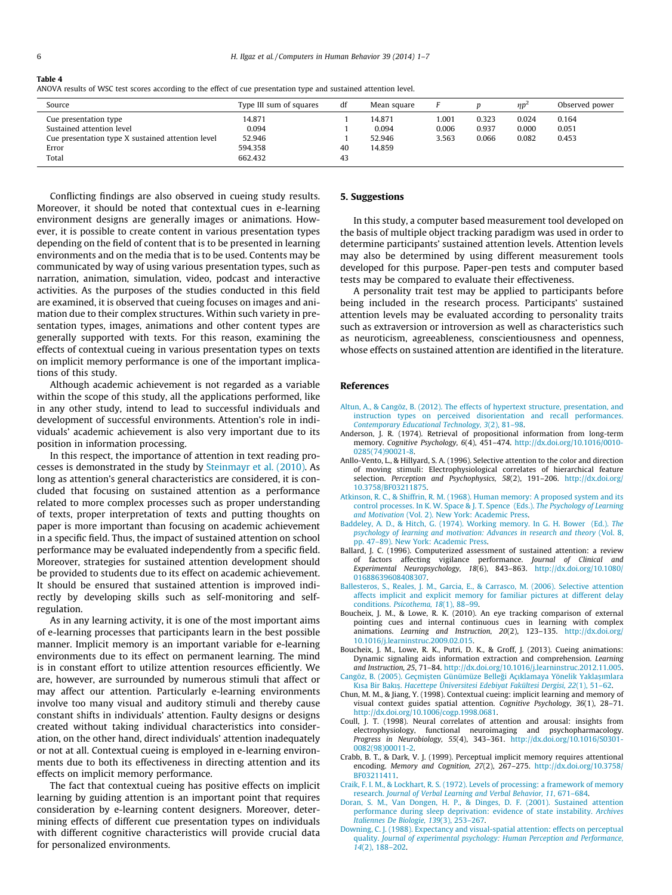<span id="page-5-0"></span>

| ٠ |  |
|---|--|
|---|--|

|  |  |  | ANOVA results of WSC test scores according to the effect of cue presentation type and sustained attention level. |
|--|--|--|------------------------------------------------------------------------------------------------------------------|
|  |  |  |                                                                                                                  |

| Source                                            | Type III sum of squares | df | Mean square |       |       | $\eta p^2$ | Observed power |
|---------------------------------------------------|-------------------------|----|-------------|-------|-------|------------|----------------|
| Cue presentation type                             | 14.871                  |    | 14.871      | 1.001 | 0.323 | 0.024      | 0.164          |
| Sustained attention level                         | 0.094                   |    | 0.094       | 0.006 | 0.937 | 0.000      | 0.051          |
| Cue presentation type X sustained attention level | 52.946                  |    | 52.946      | 3.563 | 0.066 | 0.082      | 0.453          |
| Error                                             | 594.358                 | 40 | 14.859      |       |       |            |                |
| Total                                             | 662.432                 | 43 |             |       |       |            |                |

Conflicting findings are also observed in cueing study results. Moreover, it should be noted that contextual cues in e-learning environment designs are generally images or animations. However, it is possible to create content in various presentation types depending on the field of content that is to be presented in learning environments and on the media that is to be used. Contents may be communicated by way of using various presentation types, such as narration, animation, simulation, video, podcast and interactive activities. As the purposes of the studies conducted in this field are examined, it is observed that cueing focuses on images and animation due to their complex structures. Within such variety in presentation types, images, animations and other content types are generally supported with texts. For this reason, examining the effects of contextual cueing in various presentation types on texts on implicit memory performance is one of the important implications of this study.

Although academic achievement is not regarded as a variable within the scope of this study, all the applications performed, like in any other study, intend to lead to successful individuals and development of successful environments. Attention's role in individuals' academic achievement is also very important due to its position in information processing.

In this respect, the importance of attention in text reading processes is demonstrated in the study by [Steinmayr et al. \(2010\)](#page-6-0). As long as attention's general characteristics are considered, it is concluded that focusing on sustained attention as a performance related to more complex processes such as proper understanding of texts, proper interpretation of texts and putting thoughts on paper is more important than focusing on academic achievement in a specific field. Thus, the impact of sustained attention on school performance may be evaluated independently from a specific field. Moreover, strategies for sustained attention development should be provided to students due to its effect on academic achievement. It should be ensured that sustained attention is improved indirectly by developing skills such as self-monitoring and selfregulation.

As in any learning activity, it is one of the most important aims of e-learning processes that participants learn in the best possible manner. Implicit memory is an important variable for e-learning environments due to its effect on permanent learning. The mind is in constant effort to utilize attention resources efficiently. We are, however, are surrounded by numerous stimuli that affect or may affect our attention. Particularly e-learning environments involve too many visual and auditory stimuli and thereby cause constant shifts in individuals' attention. Faulty designs or designs created without taking individual characteristics into consideration, on the other hand, direct individuals' attention inadequately or not at all. Contextual cueing is employed in e-learning environments due to both its effectiveness in directing attention and its effects on implicit memory performance.

The fact that contextual cueing has positive effects on implicit learning by guiding attention is an important point that requires consideration by e-learning content designers. Moreover, determining effects of different cue presentation types on individuals with different cognitive characteristics will provide crucial data for personalized environments.

## 5. Suggestions

In this study, a computer based measurement tool developed on the basis of multiple object tracking paradigm was used in order to determine participants' sustained attention levels. Attention levels may also be determined by using different measurement tools developed for this purpose. Paper-pen tests and computer based tests may be compared to evaluate their effectiveness.

A personality trait test may be applied to participants before being included in the research process. Participants' sustained attention levels may be evaluated according to personality traits such as extraversion or introversion as well as characteristics such as neuroticism, agreeableness, conscientiousness and openness, whose effects on sustained attention are identified in the literature.

#### References

- [Altun, A., & Cangöz, B. \(2012\). The effects of hypertext structure, presentation, and](http://refhub.elsevier.com/S0747-5632(14)00343-4/h0005) [instruction types on perceived disorientation and recall performances.](http://refhub.elsevier.com/S0747-5632(14)00343-4/h0005) [Contemporary Educational Technology, 3](http://refhub.elsevier.com/S0747-5632(14)00343-4/h0005)(2), 81–98.
- Anderson, J. R. (1974). Retrieval of propositional information from long-term memory. Cognitive Psychology, 6(4), 451–474. [http://dx.doi.org/10.1016/0010-](http://dx.doi.org/10.1016/0010-0285(74)90021-8) [0285\(74\)90021-8.](http://dx.doi.org/10.1016/0010-0285(74)90021-8)
- Anllo-Vento, L., & Hillyard, S. A. (1996). Selective attention to the color and direction of moving stimuli: Electrophysiological correlates of hierarchical feature selection. Perception and Psychophysics, 58(2), 191-206. [http://dx.doi.org/](http://dx.doi.org/10.3758/BF03211875) [10.3758/BF03211875](http://dx.doi.org/10.3758/BF03211875).
- [Atkinson, R. C., & Shiffrin, R. M. \(1968\). Human memory: A proposed system and its](http://refhub.elsevier.com/S0747-5632(14)00343-4/h0020) [control processes. In K. W. Space & J. T. Spence \(Eds.\).](http://refhub.elsevier.com/S0747-5632(14)00343-4/h0020) The Psychology of Learning and Motivation [\(Vol. 2\). New York: Academic Press.](http://refhub.elsevier.com/S0747-5632(14)00343-4/h0020)
- [Baddeley, A. D., & Hitch, G. \(1974\). Working memory. In G. H. Bower \(Ed.\).](http://refhub.elsevier.com/S0747-5632(14)00343-4/h0025) The [psychology of learning and motivation: Advances in research and theory](http://refhub.elsevier.com/S0747-5632(14)00343-4/h0025) (Vol. 8, [pp. 47–89\). New York: Academic Press.](http://refhub.elsevier.com/S0747-5632(14)00343-4/h0025)
- Ballard, J. C. (1996). Computerized assessment of sustained attention: a review of factors affecting vigilance performance. Journal of Clinical and Experimental Neuropsychology, 18(6), 843–863. [http://dx.doi.org/10.1080/](http://dx.doi.org/10.1080/01688639608408307) [01688639608408307](http://dx.doi.org/10.1080/01688639608408307).
- [Ballesteros, S., Reales, J. M., Garcia, E., & Carrasco, M. \(2006\). Selective attention](http://refhub.elsevier.com/S0747-5632(14)00343-4/h0035) [affects implicit and explicit memory for familiar pictures at different delay](http://refhub.elsevier.com/S0747-5632(14)00343-4/h0035) conditions. [Psicothema, 18](http://refhub.elsevier.com/S0747-5632(14)00343-4/h0035)(1), 88–99.
- Boucheix, J. M., & Lowe, R. K. (2010). An eye tracking comparison of external pointing cues and internal continuous cues in learning with complex animations. Learning and Instruction, 20(2), 123–135. [http://dx.doi.org/](http://dx.doi.org/10.1016/j.learninstruc.2009.02.015) [10.1016/j.learninstruc.2009.02.015](http://dx.doi.org/10.1016/j.learninstruc.2009.02.015).
- Boucheix, J. M., Lowe, R. K., Putri, D. K., & Groff, J. (2013). Cueing animations: Dynamic signaling aids information extraction and comprehension. Learning and Instruction, 25, 71–84. <http://dx.doi.org/10.1016/j.learninstruc.2012.11.005>. [Cangöz, B. \(2005\). Geçmi](http://refhub.elsevier.com/S0747-5632(14)00343-4/h0050)şten Günümüze Belleği Açıklamaya Yönelik Yaklaş[ımlara](http://refhub.elsevier.com/S0747-5632(14)00343-4/h0050)
- [Kısa Bir Bakı](http://refhub.elsevier.com/S0747-5632(14)00343-4/h0050)ş. [Hacettepe Üniversitesi Edebiyat Fakültesi Dergisi, 22](http://refhub.elsevier.com/S0747-5632(14)00343-4/h0050)(1), 51–62.
- Chun, M. M., & Jiang, Y. (1998). Contextual cueing: implicit learning and memory of visual context guides spatial attention. Cognitive Psychology, 36(1), 28–71. <http://dx.doi.org/10.1006/cogp.1998.0681>.
- Coull, J. T. (1998). Neural correlates of attention and arousal: insights from electrophysiology, functional neuroimaging and psychopharmacology. Progress in Neurobiology, 55(4), 343–361. [http://dx.doi.org/10.1016/S0301-](http://dx.doi.org/10.1016/S0301-0082(98)00011-2) [0082\(98\)00011-2.](http://dx.doi.org/10.1016/S0301-0082(98)00011-2)
- Crabb, B. T., & Dark, V. J. (1999). Perceptual implicit memory requires attentional encoding. Memory and Cognition, 27(2), 267–275. [http://dx.doi.org/10.3758/](http://dx.doi.org/10.3758/BF03211411) [BF03211411](http://dx.doi.org/10.3758/BF03211411).
- [Craik, F. I. M., & Lockhart, R. S. \(1972\). Levels of processing: a framework of memory](http://refhub.elsevier.com/S0747-5632(14)00343-4/h0070) research. [Journal of Verbal Learning and Verbal Behavior, 11](http://refhub.elsevier.com/S0747-5632(14)00343-4/h0070), 671–684.
- [Doran, S. M., Van Dongen, H. P., & Dinges, D. F. \(2001\). Sustained attention](http://refhub.elsevier.com/S0747-5632(14)00343-4/h0075) [performance during sleep deprivation: evidence of state instability.](http://refhub.elsevier.com/S0747-5632(14)00343-4/h0075) Archives [Italiennes De Biologie, 139](http://refhub.elsevier.com/S0747-5632(14)00343-4/h0075)(3), 253–267.
- [Downing, C. J. \(1988\). Expectancy and visual-spatial attention: effects on perceptual](http://refhub.elsevier.com/S0747-5632(14)00343-4/h0080) quality. [Journal of experimental psychology: Human Perception and Performance,](http://refhub.elsevier.com/S0747-5632(14)00343-4/h0080) 14[\(2\), 188–202.](http://refhub.elsevier.com/S0747-5632(14)00343-4/h0080)